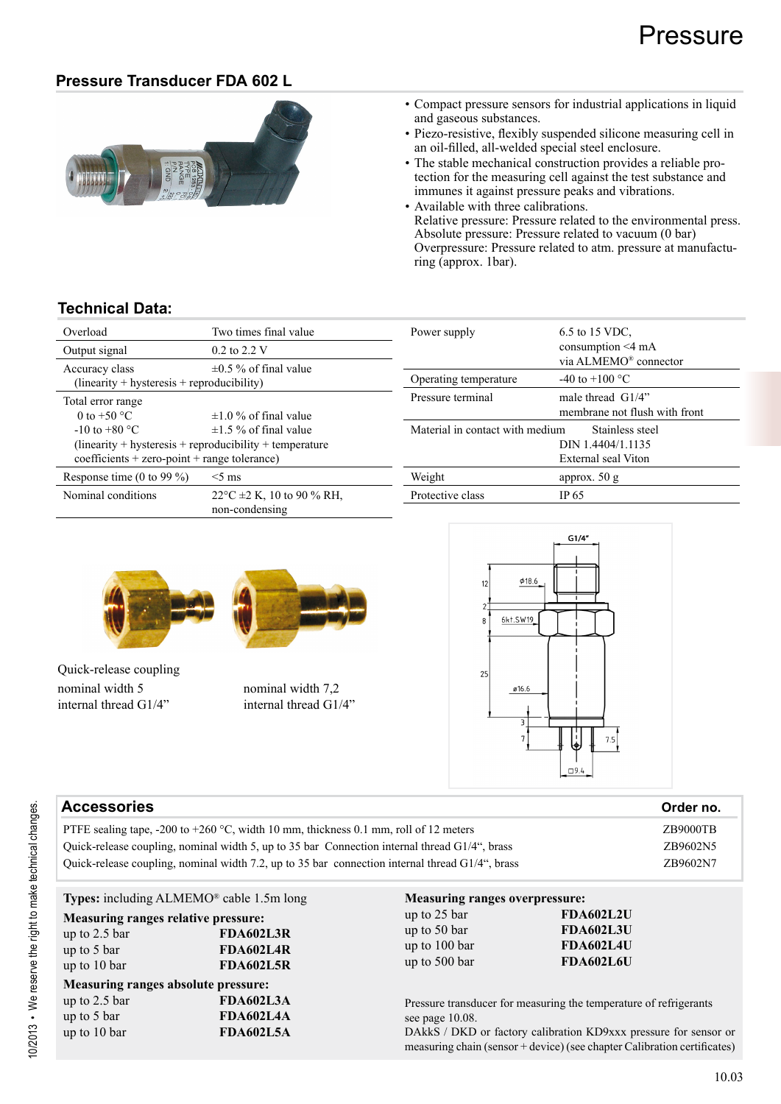#### **Pressure Transducer FDA 602 L**



- Compact pressure sensors for industrial applications in liquid and gaseous substances.
- Piezo-resistive, flexibly suspended silicone measuring cell in an oil-filled, all-welded special steel enclosure.
- The stable mechanical construction provides a reliable protection for the measuring cell against the test substance and immunes it against pressure peaks and vibrations.
- Available with three calibrations. Relative pressure: Pressure related to the environmental press. Absolute pressure: Pressure related to vacuum (0 bar) Overpressure: Pressure related to atm. pressure at manufacturing (approx. 1bar).

#### **Technical Data:**

| Overload<br>Two times final value                              |                                                            | Power supp   |
|----------------------------------------------------------------|------------------------------------------------------------|--------------|
| Output signal                                                  | $0.2$ to $2.2$ V                                           |              |
| Accuracy class<br>$(linearity + hysteresis + reproducibility)$ | $\pm 0.5$ % of final value                                 | Operating t  |
| Total error range                                              |                                                            | Pressure ter |
| 0 to $+50$ °C                                                  | $\pm 1.0$ % of final value                                 |              |
| $-10$ to $+80$ °C                                              | $\pm 1.5$ % of final value                                 | Material in  |
|                                                                | $(linearity + hysteresis + reproducibility + temperature)$ |              |
| $coefficients + zero-point + range tolerance)$                 |                                                            |              |
| Response time (0 to 99 $\%$ )                                  | $<$ 5 ms                                                   | Weight       |
| Nominal conditions                                             | $22^{\circ}$ C ±2 K, 10 to 90 % RH,<br>non-condensing      | Protective o |
|                                                                |                                                            |              |

| Power supply                    | 6.5 to 15 VDC.<br>consumption $\leq 4$ mA<br>via ALMEMO® connector      |
|---------------------------------|-------------------------------------------------------------------------|
| Operating temperature           | $-40$ to $+100$ °C                                                      |
| Pressure terminal               | male thread $\left(\frac{1}{4}\right)$<br>membrane not flush with front |
| Material in contact with medium | Stainless steel<br>DIN 1.4404/1.1135<br>External seal Viton             |
| Weight                          | approx. $50 g$                                                          |
| Protective class                | IP 65                                                                   |



Quick-release coupling nominal width 5 nominal width 7,2 internal thread G1/4" internal thread G1/4"





| <b>Accessories</b>                                                                                 | Order no. |
|----------------------------------------------------------------------------------------------------|-----------|
| PTFE sealing tape, -200 to +260 °C, width 10 mm, thickness 0.1 mm, roll of 12 meters               | ZB9000TB  |
| Ouick-release coupling, nominal width 5, up to 35 bar Connection internal thread G1/4", brass      | ZB9602N5  |
| Quick-release coupling, nominal width 7.2, up to 35 bar connection internal thread $G1/4$ ", brass | ZB9602N7  |

| <b>Types:</b> including $ALMEMO^®$ cable 1.5m long                                    |                                                          | <b>Measuring ranges overpressure:</b>                          |                                                                                                                                                                                                                   |
|---------------------------------------------------------------------------------------|----------------------------------------------------------|----------------------------------------------------------------|-------------------------------------------------------------------------------------------------------------------------------------------------------------------------------------------------------------------|
| Measuring ranges relative pressure:<br>up to $2.5$ bar<br>up to 5 bar<br>up to 10 bar | FDA602L3R<br><b>FDA602L4R</b><br><b>FDA602L5R</b>        | up to 25 bar<br>up to 50 bar<br>up to 100 bar<br>up to 500 bar | <b>FDA602L2U</b><br><b>FDA602L3U</b><br><b>FDA602L4U</b><br><b>FDA602L6U</b>                                                                                                                                      |
| Measuring ranges absolute pressure:<br>up to $2.5$ bar<br>up to 5 bar<br>up to 10 bar | <b>FDA602L3A</b><br><b>FDA602L4A</b><br><b>FDA602L5A</b> | see page $10.08$ .                                             | Pressure transducer for measuring the temperature of refrigerants<br>DAkkS / DKD or factory calibration KD9xxx pressure for sensor or<br>measuring chain (sensor + device) (see chapter Calibration certificates) |

10/2013 • We reserve the right to make technical changes.

0/2013 • We reserve the right to make technical changes.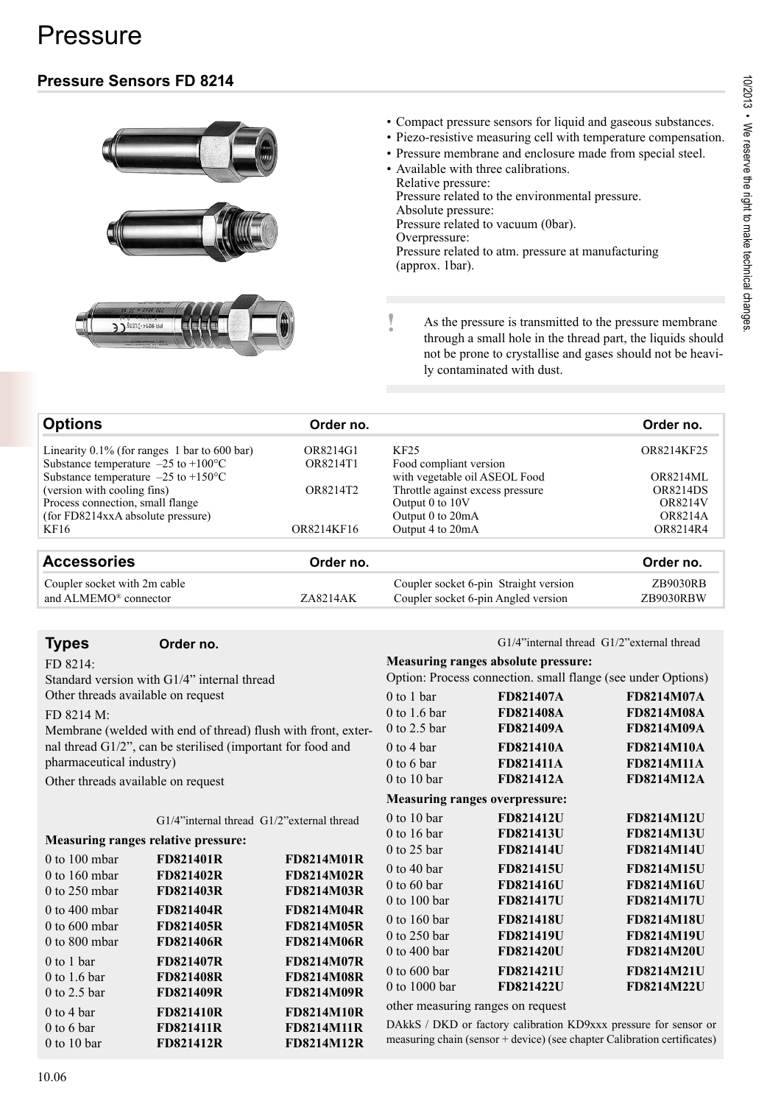# Pressure

## **Pressure Sensors FD 8214**





- Compact pressure sensors for liquid and gaseous substances.
- Piezo-resistive measuring cell with temperature compensation.
- Pressure membrane and enclosure made from special steel.
- Available with three calibrations. Relative pressure: Pressure related to the environmental pressure. Absolute pressure:

Pressure related to vacuum (0bar).

Overpressure:

Pressure related to atm. pressure at manufacturing (approx. 1bar).

**!** As the pressure is transmitted to the pressure membrane through a small hole in the thread part, the liquids should not be prone to crystallise and gases should not be heavily contaminated with dust.

| <b>Options</b>                                       | Order no.  |                                  | Order no.       |
|------------------------------------------------------|------------|----------------------------------|-----------------|
| Linearity $0.1\%$ (for ranges 1 bar to 600 bar)      | OR8214G1   | KF <sub>25</sub>                 | OR8214KF25      |
| Substance temperature $-25$ to $+100$ <sup>o</sup> C | OR8214T1   | Food compliant version           |                 |
| Substance temperature $-25$ to $+150$ <sup>o</sup> C |            | with vegetable oil ASEOL Food    | <b>OR8214ML</b> |
| (version with cooling fins)                          | OR8214T2   | Throttle against excess pressure | <b>OR8214DS</b> |
| Process connection, small flange                     |            | Output 0 to 10V                  | <b>OR8214V</b>  |
| (for FD8214xxA absolute pressure)                    |            | Output 0 to 20mA                 | OR8214A         |
| KF16                                                 | OR8214KF16 | Output 4 to 20mA                 | OR8214R4        |
|                                                      |            |                                  |                 |

| <b>Accessories</b>                | Order no. |                                       | Order no. |
|-----------------------------------|-----------|---------------------------------------|-----------|
| Coupler socket with 2m cable      | ZA8214AK  | Coupler socket 6-pin Straight version | ZB9030RB  |
| and ALMEMO <sup>®</sup> connector |           | Coupler socket 6-pin Angled version   | ZB9030RBW |

#### **Types Order no.**

FD 8214: Standard version with G1/4" internal thread Other threads available on request

FD 8214 M:

Membrane (welded with end of thread) flush with front, external thread G1/2", can be sterilised (important for food and pharmaceutical industry)

Other threads available on request

G1/4"internal thread G1/2"external thread

#### **Measuring ranges relative pressure:**

| $0$ to 100 mbar   | <b>FD821401R</b> | <b>FD8214M01R</b> |
|-------------------|------------------|-------------------|
| 0 to $160$ mbar   | <b>FD821402R</b> | <b>FD8214M02R</b> |
| $0$ to 250 mbar   | <b>FD821403R</b> | <b>FD8214M03R</b> |
| $0$ to $400$ mbar | <b>FD821404R</b> | <b>FD8214M04R</b> |
| $0$ to $600$ mbar | <b>FD821405R</b> | <b>FD8214M05R</b> |
| $0$ to $800$ mbar | <b>FD821406R</b> | <b>FD8214M06R</b> |
| $0$ to 1 bar      | <b>FD821407R</b> | <b>FD8214M07R</b> |
| 0 to 1.6 bar      | <b>FD821408R</b> | <b>FD8214M08R</b> |
| $0$ to 2.5 bar    | <b>FD821409R</b> | <b>FD8214M09R</b> |
| $0$ to 4 bar      | <b>FD821410R</b> | <b>FD8214M10R</b> |
| $0$ to 6 bar      | <b>FD821411R</b> | <b>FD8214M11R</b> |
| $0$ to 10 bar     | <b>FD821412R</b> | <b>FD8214M12R</b> |

| $G1/4$ "internal thread $G1/2$ " external thread |  |  |
|--------------------------------------------------|--|--|
|--------------------------------------------------|--|--|

#### **Measuring ranges absolute pressure:**

|              | Option: Process connection. small flange (see under Options) |  |                   |  |
|--------------|--------------------------------------------------------------|--|-------------------|--|
| $0$ to 1 bar | <b>FD821407A</b>                                             |  | <b>FD8214M07A</b> |  |

| <b>FD821407A</b>                      | <b>FD8214M07A</b> |
|---------------------------------------|-------------------|
| <b>FD821408A</b>                      | <b>FD8214M08A</b> |
| <b>FD821409A</b>                      | <b>FD8214M09A</b> |
| <b>FD821410A</b>                      | <b>FD8214M10A</b> |
| <b>FD821411A</b>                      | <b>FD8214M11A</b> |
| <b>FD821412A</b>                      | <b>FD8214M12A</b> |
| <b>Measuring ranges overpressure:</b> |                   |
| <b>FD821412U</b>                      | <b>FD8214M12U</b> |
| <b>FD821413U</b>                      | <b>FD8214M13U</b> |
| <b>FD821414U</b>                      | <b>FD8214M14U</b> |
| <b>FD821415U</b>                      | <b>FD8214M15U</b> |
| <b>FD821416U</b>                      | <b>FD8214M16U</b> |
| <b>FD821417U</b>                      | <b>FD8214M17U</b> |
| <b>FD821418U</b>                      | <b>FD8214M18U</b> |
| <b>FD821419U</b>                      | <b>FD8214M19U</b> |
| <b>FD821420U</b>                      | <b>FD8214M20U</b> |
| <b>FD821421U</b>                      | <b>FD8214M21U</b> |
| <b>FD821422U</b>                      | <b>FD8214M22U</b> |
|                                       |                   |

other measuring ranges on request

DAkkS / DKD or factory calibration KD9xxx pressure for sensor or measuring chain (sensor + device) (see chapter Calibration certificates)